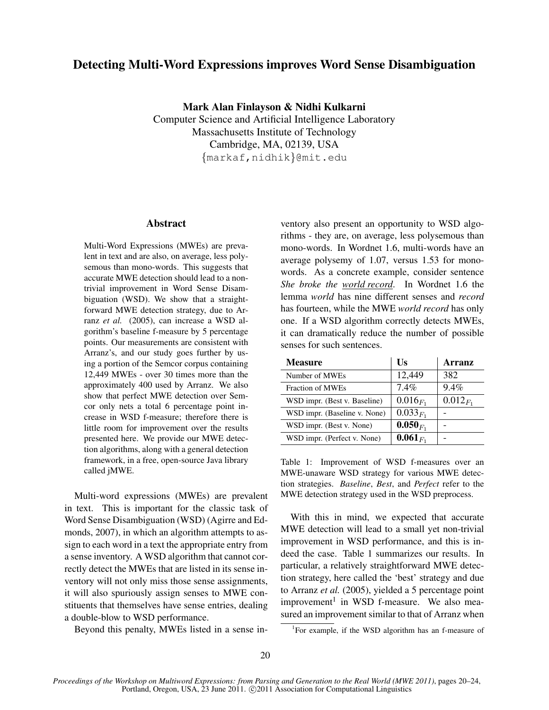# Detecting Multi-Word Expressions improves Word Sense Disambiguation

Mark Alan Finlayson & Nidhi Kulkarni Computer Science and Artificial Intelligence Laboratory Massachusetts Institute of Technology Cambridge, MA, 02139, USA {markaf,nidhik}@mit.edu

### Abstract

Multi-Word Expressions (MWEs) are prevalent in text and are also, on average, less polysemous than mono-words. This suggests that accurate MWE detection should lead to a nontrivial improvement in Word Sense Disambiguation (WSD). We show that a straightforward MWE detection strategy, due to Arranz *et al.* (2005), can increase a WSD algorithm's baseline f-measure by 5 percentage points. Our measurements are consistent with Arranz's, and our study goes further by using a portion of the Semcor corpus containing 12,449 MWEs - over 30 times more than the approximately 400 used by Arranz. We also show that perfect MWE detection over Semcor only nets a total 6 percentage point increase in WSD f-measure; therefore there is little room for improvement over the results presented here. We provide our MWE detection algorithms, along with a general detection framework, in a free, open-source Java library called jMWE.

Multi-word expressions (MWEs) are prevalent in text. This is important for the classic task of Word Sense Disambiguation (WSD) (Agirre and Edmonds, 2007), in which an algorithm attempts to assign to each word in a text the appropriate entry from a sense inventory. A WSD algorithm that cannot correctly detect the MWEs that are listed in its sense inventory will not only miss those sense assignments, it will also spuriously assign senses to MWE constituents that themselves have sense entries, dealing a double-blow to WSD performance.

Beyond this penalty, MWEs listed in a sense in-

ventory also present an opportunity to WSD algorithms - they are, on average, less polysemous than mono-words. In Wordnet 1.6, multi-words have an average polysemy of 1.07, versus 1.53 for monowords. As a concrete example, consider sentence *She broke the world record*. In Wordnet 1.6 the lemma *world* has nine different senses and *record* has fourteen, while the MWE *world record* has only one. If a WSD algorithm correctly detects MWEs, it can dramatically reduce the number of possible senses for such sentences.

| <b>Measure</b>               | $\overline{\text{Us}}$ | Arranz        |
|------------------------------|------------------------|---------------|
| Number of MWEs               | 12,449                 | 382           |
| <b>Fraction of MWEs</b>      | $7.4\%$                | 9.4%          |
| WSD impr. (Best v. Baseline) | $0.016_{F_1}$          | $0.012_{F_1}$ |
| WSD impr. (Baseline v. None) | $0.033_{F_1}$          |               |
| WSD impr. (Best v. None)     | $0.050F_1$             |               |
| WSD impr. (Perfect v. None)  | $0.061_{F_1}$          |               |

Table 1: Improvement of WSD f-measures over an MWE-unaware WSD strategy for various MWE detection strategies. *Baseline*, *Best*, and *Perfect* refer to the MWE detection strategy used in the WSD preprocess.

With this in mind, we expected that accurate MWE detection will lead to a small yet non-trivial improvement in WSD performance, and this is indeed the case. Table 1 summarizes our results. In particular, a relatively straightforward MWE detection strategy, here called the 'best' strategy and due to Arranz *et al.* (2005), yielded a 5 percentage point improvement<sup>1</sup> in WSD f-measure. We also measured an improvement similar to that of Arranz when

<sup>&</sup>lt;sup>1</sup>For example, if the WSD algorithm has an f-measure of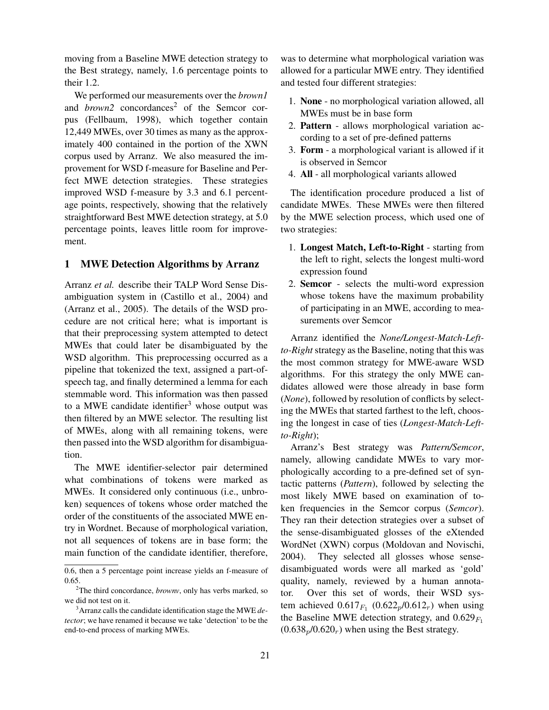moving from a Baseline MWE detection strategy to the Best strategy, namely, 1.6 percentage points to their 1.2.

We performed our measurements over the *brown1* and *brown2* concordances<sup>2</sup> of the Semcor corpus (Fellbaum, 1998), which together contain 12,449 MWEs, over 30 times as many as the approximately 400 contained in the portion of the XWN corpus used by Arranz. We also measured the improvement for WSD f-measure for Baseline and Perfect MWE detection strategies. These strategies improved WSD f-measure by 3.3 and 6.1 percentage points, respectively, showing that the relatively straightforward Best MWE detection strategy, at 5.0 percentage points, leaves little room for improvement.

#### 1 MWE Detection Algorithms by Arranz

Arranz *et al.* describe their TALP Word Sense Disambiguation system in (Castillo et al., 2004) and (Arranz et al., 2005). The details of the WSD procedure are not critical here; what is important is that their preprocessing system attempted to detect MWEs that could later be disambiguated by the WSD algorithm. This preprocessing occurred as a pipeline that tokenized the text, assigned a part-ofspeech tag, and finally determined a lemma for each stemmable word. This information was then passed to a MWE candidate identifier<sup>3</sup> whose output was then filtered by an MWE selector. The resulting list of MWEs, along with all remaining tokens, were then passed into the WSD algorithm for disambiguation.

The MWE identifier-selector pair determined what combinations of tokens were marked as MWEs. It considered only continuous (i.e., unbroken) sequences of tokens whose order matched the order of the constituents of the associated MWE entry in Wordnet. Because of morphological variation, not all sequences of tokens are in base form; the main function of the candidate identifier, therefore,

was to determine what morphological variation was allowed for a particular MWE entry. They identified and tested four different strategies:

- 1. None no morphological variation allowed, all MWEs must be in base form
- 2. Pattern allows morphological variation according to a set of pre-defined patterns
- 3. Form a morphological variant is allowed if it is observed in Semcor
- 4. All all morphological variants allowed

The identification procedure produced a list of candidate MWEs. These MWEs were then filtered by the MWE selection process, which used one of two strategies:

- 1. Longest Match, Left-to-Right starting from the left to right, selects the longest multi-word expression found
- 2. Semcor selects the multi-word expression whose tokens have the maximum probability of participating in an MWE, according to measurements over Semcor

Arranz identified the *None/Longest-Match-Leftto-Right* strategy as the Baseline, noting that this was the most common strategy for MWE-aware WSD algorithms. For this strategy the only MWE candidates allowed were those already in base form (*None*), followed by resolution of conflicts by selecting the MWEs that started farthest to the left, choosing the longest in case of ties (*Longest-Match-Leftto-Right*);

Arranz's Best strategy was *Pattern/Semcor*, namely, allowing candidate MWEs to vary morphologically according to a pre-defined set of syntactic patterns (*Pattern*), followed by selecting the most likely MWE based on examination of token frequencies in the Semcor corpus (*Semcor*). They ran their detection strategies over a subset of the sense-disambiguated glosses of the eXtended WordNet (XWN) corpus (Moldovan and Novischi, 2004). They selected all glosses whose sensedisambiguated words were all marked as 'gold' quality, namely, reviewed by a human annotator. Over this set of words, their WSD system achieved  $0.617_{F_1} (0.622_p/0.612_r)$  when using the Baseline MWE detection strategy, and  $0.629_{F_1}$  $(0.638<sub>p</sub>/0.620<sub>r</sub>)$  when using the Best strategy.

<sup>0.6,</sup> then a 5 percentage point increase yields an f-measure of 0.65.

<sup>2</sup>The third concordance, *brownv*, only has verbs marked, so we did not test on it.

<sup>3</sup>Arranz calls the candidate identification stage the MWE *detector*; we have renamed it because we take 'detection' to be the end-to-end process of marking MWEs.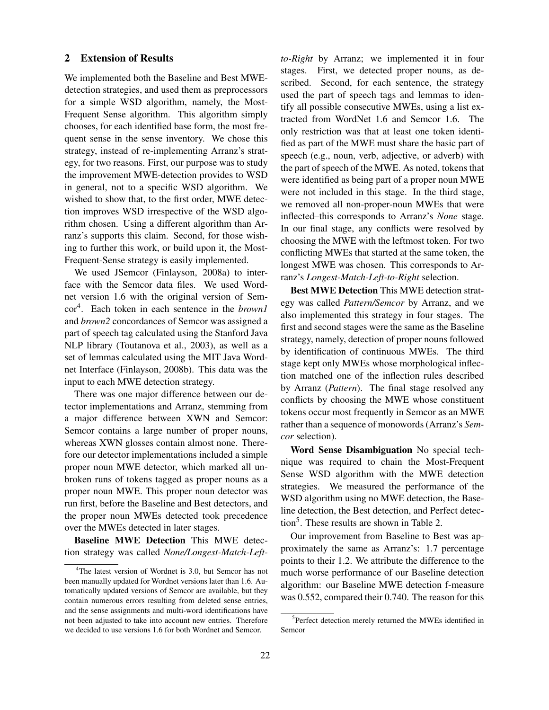### 2 Extension of Results

We implemented both the Baseline and Best MWEdetection strategies, and used them as preprocessors for a simple WSD algorithm, namely, the Most-Frequent Sense algorithm. This algorithm simply chooses, for each identified base form, the most frequent sense in the sense inventory. We chose this strategy, instead of re-implementing Arranz's strategy, for two reasons. First, our purpose was to study the improvement MWE-detection provides to WSD in general, not to a specific WSD algorithm. We wished to show that, to the first order, MWE detection improves WSD irrespective of the WSD algorithm chosen. Using a different algorithm than Arranz's supports this claim. Second, for those wishing to further this work, or build upon it, the Most-Frequent-Sense strategy is easily implemented.

We used JSemcor (Finlayson, 2008a) to interface with the Semcor data files. We used Wordnet version 1.6 with the original version of Semcor<sup>4</sup> . Each token in each sentence in the *brown1* and *brown2* concordances of Semcor was assigned a part of speech tag calculated using the Stanford Java NLP library (Toutanova et al., 2003), as well as a set of lemmas calculated using the MIT Java Wordnet Interface (Finlayson, 2008b). This data was the input to each MWE detection strategy.

There was one major difference between our detector implementations and Arranz, stemming from a major difference between XWN and Semcor: Semcor contains a large number of proper nouns, whereas XWN glosses contain almost none. Therefore our detector implementations included a simple proper noun MWE detector, which marked all unbroken runs of tokens tagged as proper nouns as a proper noun MWE. This proper noun detector was run first, before the Baseline and Best detectors, and the proper noun MWEs detected took precedence over the MWEs detected in later stages.

Baseline MWE Detection This MWE detection strategy was called *None/Longest-Match-Left-* *to-Right* by Arranz; we implemented it in four stages. First, we detected proper nouns, as described. Second, for each sentence, the strategy used the part of speech tags and lemmas to identify all possible consecutive MWEs, using a list extracted from WordNet 1.6 and Semcor 1.6. The only restriction was that at least one token identified as part of the MWE must share the basic part of speech (e.g., noun, verb, adjective, or adverb) with the part of speech of the MWE. As noted, tokens that were identified as being part of a proper noun MWE were not included in this stage. In the third stage, we removed all non-proper-noun MWEs that were inflected–this corresponds to Arranz's *None* stage. In our final stage, any conflicts were resolved by choosing the MWE with the leftmost token. For two conflicting MWEs that started at the same token, the longest MWE was chosen. This corresponds to Arranz's *Longest-Match-Left-to-Right* selection.

Best MWE Detection This MWE detection strategy was called *Pattern/Semcor* by Arranz, and we also implemented this strategy in four stages. The first and second stages were the same as the Baseline strategy, namely, detection of proper nouns followed by identification of continuous MWEs. The third stage kept only MWEs whose morphological inflection matched one of the inflection rules described by Arranz (*Pattern*). The final stage resolved any conflicts by choosing the MWE whose constituent tokens occur most frequently in Semcor as an MWE rather than a sequence of monowords (Arranz's *Semcor* selection).

Word Sense Disambiguation No special technique was required to chain the Most-Frequent Sense WSD algorithm with the MWE detection strategies. We measured the performance of the WSD algorithm using no MWE detection, the Baseline detection, the Best detection, and Perfect detection<sup>5</sup>. These results are shown in Table 2.

Our improvement from Baseline to Best was approximately the same as Arranz's: 1.7 percentage points to their 1.2. We attribute the difference to the much worse performance of our Baseline detection algorithm: our Baseline MWE detection f-measure was 0.552, compared their 0.740. The reason for this

<sup>&</sup>lt;sup>4</sup>The latest version of Wordnet is 3.0, but Semcor has not been manually updated for Wordnet versions later than 1.6. Automatically updated versions of Semcor are available, but they contain numerous errors resulting from deleted sense entries, and the sense assignments and multi-word identifications have not been adjusted to take into account new entries. Therefore we decided to use versions 1.6 for both Wordnet and Semcor.

<sup>&</sup>lt;sup>5</sup>Perfect detection merely returned the MWEs identified in Semcor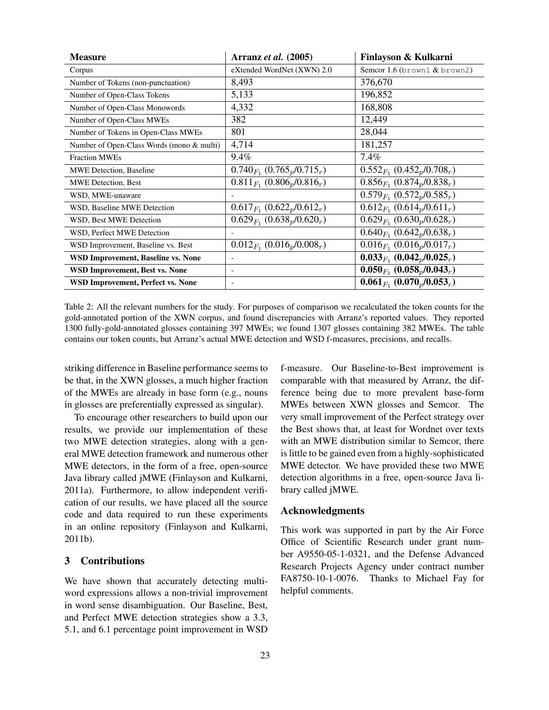| <b>Measure</b>                            | Arranz et al. (2005)              | Finlayson & Kulkarni                                    |
|-------------------------------------------|-----------------------------------|---------------------------------------------------------|
| Corpus                                    | eXtended WordNet (XWN) 2.0        | Semcor 1.6 (brown1 $&$ brown2)                          |
| Number of Tokens (non-punctuation)        | 8,493                             | 376,670                                                 |
| Number of Open-Class Tokens               | 5,133                             | 196,852                                                 |
| Number of Open-Class Monowords            | 4,332                             | 168,808                                                 |
| Number of Open-Class MWEs                 | 382                               | 12,449                                                  |
| Number of Tokens in Open-Class MWEs       | 801                               | 28,044                                                  |
| Number of Open-Class Words (mono & multi) | 4,714                             | 181,257                                                 |
| <b>Fraction MWEs</b>                      | 9.4%                              | $7.4\%$                                                 |
| <b>MWE Detection, Baseline</b>            | $0.740_{F_1}$ $(0.765_p/0.715_r)$ | $0.552_{F_1} (0.452_p/0.708_r)$                         |
| <b>MWE Detection, Best</b>                | $0.811_{F_1} (0.806_p/0.816_r)$   | $0.856_{F_1} (0.874_p/0.838_r)$                         |
| WSD, MWE-unaware                          |                                   | $0.579_{F_1} (0.572_p/0.585_r)$                         |
| WSD, Baseline MWE Detection               | $0.617_{F_1} (0.622_p/0.612_r)$   | $0.612_{F_1} (0.614_p/0.611_r)$                         |
| WSD, Best MWE Detection                   | $0.629_{F_1} (0.638_p/0.620_r)$   | $0.629_{F_1} (0.630_p/0.628_r)$                         |
| WSD, Perfect MWE Detection                |                                   | $0.640_{F_1}$ $(0.642_p/0.638_r)$                       |
| WSD Improvement, Baseline vs. Best        | $0.012_{F_1} (0.016_p/0.008_r)$   | $0.016_{F_1}$ (0.016 <sub>p</sub> /0.017 <sub>r</sub> ) |
| <b>WSD Improvement, Baseline vs. None</b> | ٠                                 | $0.033_{F_1}$ $(0.042_p/0.025_r)$                       |
| WSD Improvement, Best vs. None            | ۰                                 | $0.050_{F_1}$ $(0.058_p/0.043_r)$                       |
| <b>WSD Improvement, Perfect vs. None</b>  |                                   | $0.061_{F_1}$ $(0.070_p/0.053_r)$                       |

Table 2: All the relevant numbers for the study. For purposes of comparison we recalculated the token counts for the gold-annotated portion of the XWN corpus, and found discrepancies with Arranz's reported values. They reported 1300 fully-gold-annotated glosses containing 397 MWEs; we found 1307 glosses containing 382 MWEs. The table contains our token counts, but Arranz's actual MWE detection and WSD f-measures, precisions, and recalls.

striking difference in Baseline performance seems to be that, in the XWN glosses, a much higher fraction of the MWEs are already in base form (e.g., nouns in glosses are preferentially expressed as singular).

To encourage other researchers to build upon our results, we provide our implementation of these two MWE detection strategies, along with a general MWE detection framework and numerous other MWE detectors, in the form of a free, open-source Java library called jMWE (Finlayson and Kulkarni, 2011a). Furthermore, to allow independent verification of our results, we have placed all the source code and data required to run these experiments in an online repository (Finlayson and Kulkarni, 2011b).

## 3 Contributions

We have shown that accurately detecting multiword expressions allows a non-trivial improvement in word sense disambiguation. Our Baseline, Best, and Perfect MWE detection strategies show a 3.3, 5.1, and 6.1 percentage point improvement in WSD f-measure. Our Baseline-to-Best improvement is comparable with that measured by Arranz, the difference being due to more prevalent base-form MWEs between XWN glosses and Semcor. The very small improvement of the Perfect strategy over the Best shows that, at least for Wordnet over texts with an MWE distribution similar to Semcor, there is little to be gained even from a highly-sophisticated MWE detector. We have provided these two MWE detection algorithms in a free, open-source Java library called jMWE.

#### Acknowledgments

This work was supported in part by the Air Force Office of Scientific Research under grant number A9550-05-1-0321, and the Defense Advanced Research Projects Agency under contract number FA8750-10-1-0076. Thanks to Michael Fay for helpful comments.